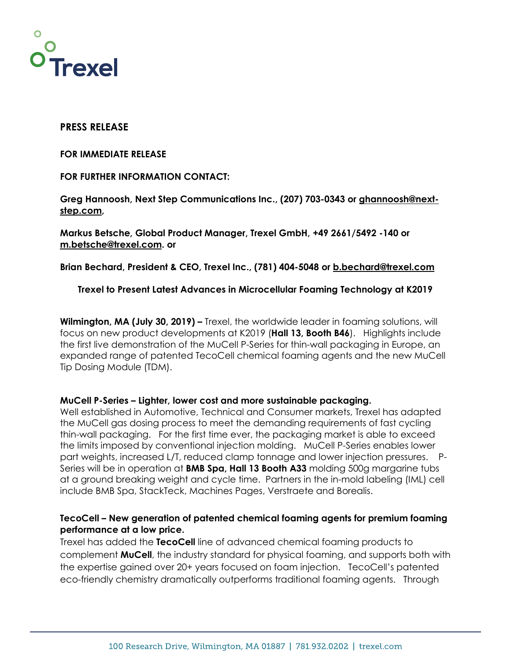

# **PRESS RELEASE**

### **FOR IMMEDIATE RELEASE**

## **FOR FURTHER INFORMATION CONTACT:**

**Greg Hannoosh, Next Step Communications Inc., (207) 703-0343 or ghannoosh@nextstep.com,** 

**Markus Betsche, Global Product Manager, Trexel GmbH, +49 2661/5492 -140 or m.betsche@trexel.com. or** 

**Brian Bechard, President & CEO, Trexel Inc., (781) 404-5048 or b.bechard@trexel.com** 

## **Trexel to Present Latest Advances in Microcellular Foaming Technology at K2019**

**Wilmington, MA (July 30, 2019) –** Trexel, the worldwide leader in foaming solutions, will focus on new product developments at K2019 (**Hall 13, Booth B46**). Highlights include the first live demonstration of the MuCell P-Series for thin-wall packaging in Europe, an expanded range of patented TecoCell chemical foaming agents and the new MuCell Tip Dosing Module (TDM).

## **MuCell P-Series – Lighter, lower cost and more sustainable packaging.**

Well established in Automotive, Technical and Consumer markets, Trexel has adapted the MuCell gas dosing process to meet the demanding requirements of fast cycling thin-wall packaging. For the first time ever, the packaging market is able to exceed the limits imposed by conventional injection molding. MuCell P-Series enables lower part weights, increased L/T, reduced clamp tonnage and lower injection pressures. P-Series will be in operation at **BMB Spa, Hall 13 Booth A33** molding 500g margarine tubs at a ground breaking weight and cycle time. Partners in the in-mold labeling (IML) cell include BMB Spa, StackTeck, Machines Pages, Verstraete and Borealis.

# **TecoCell – New generation of patented chemical foaming agents for premium foaming performance at a low price.**

Trexel has added the **TecoCell** line of advanced chemical foaming products to complement **MuCell**, the industry standard for physical foaming, and supports both with the expertise gained over 20+ years focused on foam injection. TecoCell's patented eco-friendly chemistry dramatically outperforms traditional foaming agents. Through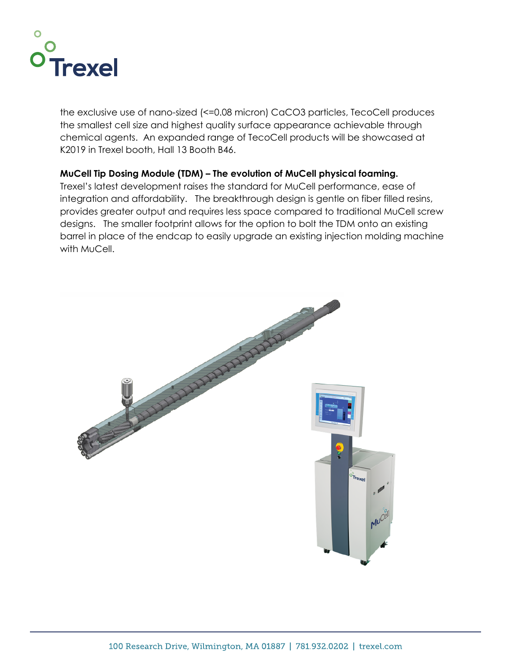

the exclusive use of nano-sized (<=0.08 micron) CaCO3 particles, TecoCell produces the smallest cell size and highest quality surface appearance achievable through chemical agents. An expanded range of TecoCell products will be showcased at K2019 in Trexel booth, Hall 13 Booth B46.

# **MuCell Tip Dosing Module (TDM) – The evolution of MuCell physical foaming.**

Trexel's latest development raises the standard for MuCell performance, ease of integration and affordability. The breakthrough design is gentle on fiber filled resins, provides greater output and requires less space compared to traditional MuCell screw designs. The smaller footprint allows for the option to bolt the TDM onto an existing barrel in place of the endcap to easily upgrade an existing injection molding machine with MuCell.